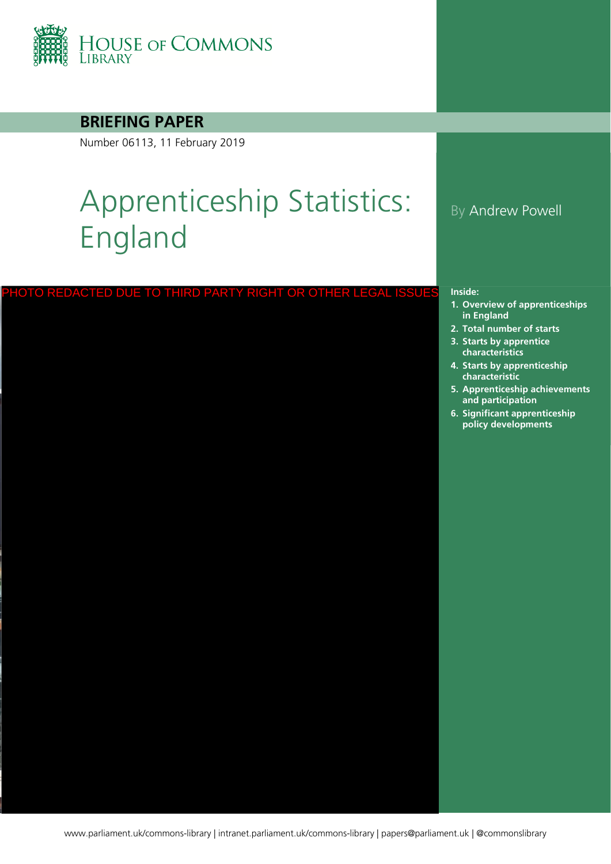

### **BRIEFING PAPER**

Number 06113, 11 February 2019

# Apprenticeship Statistics: England

| PHOTO REDACTED DUE TO THIRD PARTY RIGHT OR OTHER LEGAL ISSUES | Inside:<br>1. Over |
|---------------------------------------------------------------|--------------------|
|                                                               | in En              |
|                                                               | 2. Total           |
|                                                               | 3. Start<br>chara  |
|                                                               | 4. Start           |
|                                                               | chara              |
|                                                               | 5. Appr<br>and p   |
|                                                               | 6. Signi           |
|                                                               | polic              |
|                                                               |                    |
|                                                               |                    |
|                                                               |                    |
|                                                               |                    |
|                                                               |                    |
|                                                               |                    |
|                                                               |                    |
|                                                               |                    |
|                                                               |                    |
|                                                               |                    |
|                                                               |                    |
|                                                               |                    |
|                                                               |                    |
|                                                               |                    |
|                                                               |                    |
|                                                               |                    |
|                                                               |                    |
|                                                               |                    |
|                                                               |                    |
|                                                               |                    |
|                                                               |                    |

### By Andrew Powell

- **1. [Overview of apprenticeships](#page-3-0)**  <u>g</u>land
- **2. [Total number of starts](#page-5-0)**
- **3.** by apprentice **characteristics**
- **4. [Starts by apprenticeship](#page-12-0)  characteristic**
- **5. [Apprenticeship achievements](#page-15-0)  and participation**
- **6. [Significant apprenticeship](#page-16-0)  policy developments**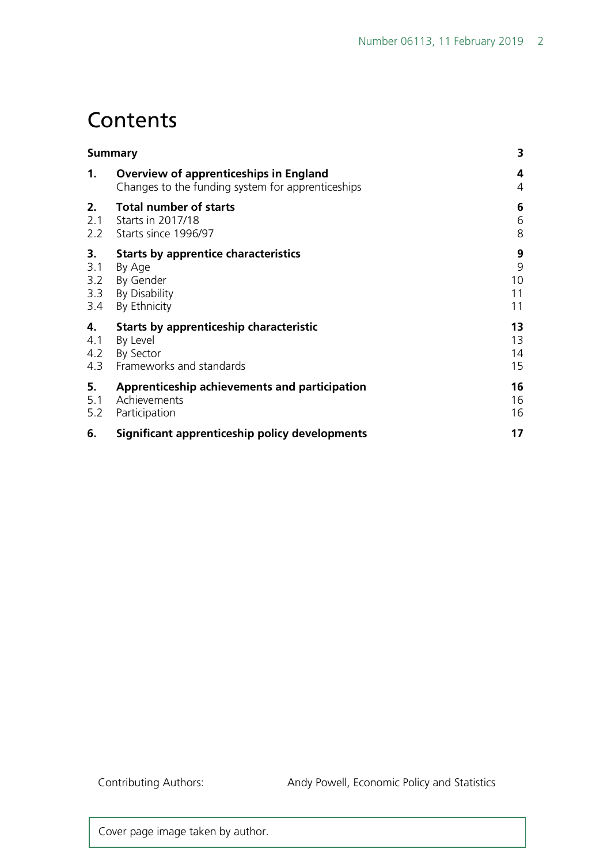# **Contents**

|     | <b>Summary</b>                                                                                     | 3      |
|-----|----------------------------------------------------------------------------------------------------|--------|
| 1.  | <b>Overview of apprenticeships in England</b><br>Changes to the funding system for apprenticeships | 4<br>4 |
| 2.  | <b>Total number of starts</b>                                                                      | 6      |
| 2.1 | Starts in 2017/18                                                                                  | 6      |
| 2.2 | Starts since 1996/97                                                                               | 8      |
| 3.  | <b>Starts by apprentice characteristics</b>                                                        | 9      |
| 3.1 | By Age                                                                                             | 9      |
| 3.2 | By Gender                                                                                          | 10     |
| 3.3 | By Disability                                                                                      | 11     |
| 3.4 | By Ethnicity                                                                                       | 11     |
| 4.  | Starts by apprenticeship characteristic                                                            | 13     |
| 4.1 | By Level                                                                                           | 13     |
| 4.2 | By Sector                                                                                          | 14     |
| 4.3 | Frameworks and standards                                                                           | 15     |
| 5.  | Apprenticeship achievements and participation                                                      | 16     |
| 5.1 | Achievements                                                                                       | 16     |
| 5.2 | Participation                                                                                      | 16     |
| 6.  | Significant apprenticeship policy developments                                                     | 17     |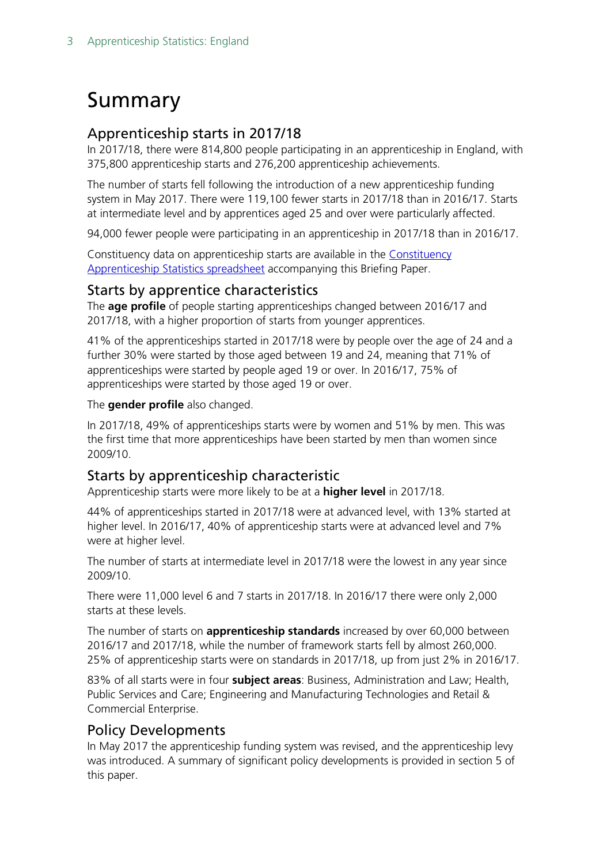# <span id="page-2-0"></span>Summary

#### <span id="page-2-1"></span>Apprenticeship starts in 2017/18

In 2017/18, there were 814,800 people participating in an apprenticeship in England, with 375,800 apprenticeship starts and 276,200 apprenticeship achievements.

The number of starts fell following the introduction of a new apprenticeship funding system in May 2017. There were 119,100 fewer starts in 2017/18 than in 2016/17. Starts at intermediate level and by apprentices aged 25 and over were particularly affected.

94,000 fewer people were participating in an apprenticeship in 2017/18 than in 2016/17.

Constituency data on apprenticeship starts are available in the Constituency [Apprenticeship Statistics spreadsheet](http://researchbriefings.files.parliament.uk/documents/SN06113/CBP06113_constit_tables.xlsx) accompanying this Briefing Paper.

#### Starts by apprentice characteristics

The **age profile** of people starting apprenticeships changed between 2016/17 and 2017/18, with a higher proportion of starts from younger apprentices.

41% of the apprenticeships started in 2017/18 were by people over the age of 24 and a further 30% were started by those aged between 19 and 24, meaning that 71% of apprenticeships were started by people aged 19 or over. In 2016/17, 75% of apprenticeships were started by those aged 19 or over.

The **gender profile** also changed.

In 2017/18, 49% of apprenticeships starts were by women and 51% by men. This was the first time that more apprenticeships have been started by men than women since 2009/10.

#### Starts by apprenticeship characteristic

Apprenticeship starts were more likely to be at a **higher level** in 2017/18.

44% of apprenticeships started in 2017/18 were at advanced level, with 13% started at higher level. In 2016/17, 40% of apprenticeship starts were at advanced level and 7% were at higher level.

The number of starts at intermediate level in 2017/18 were the lowest in any year since 2009/10.

There were 11,000 level 6 and 7 starts in 2017/18. In 2016/17 there were only 2,000 starts at these levels.

The number of starts on **apprenticeship standards** increased by over 60,000 between 2016/17 and 2017/18, while the number of framework starts fell by almost 260,000. 25% of apprenticeship starts were on standards in 2017/18, up from just 2% in 2016/17.

83% of all starts were in four **subject areas**: Business, Administration and Law; Health, Public Services and Care; Engineering and Manufacturing Technologies and Retail & Commercial Enterprise.

#### Policy Developments

In May 2017 the apprenticeship funding system was revised, and the apprenticeship levy was introduced. A summary of significant policy developments is provided in section 5 of this paper.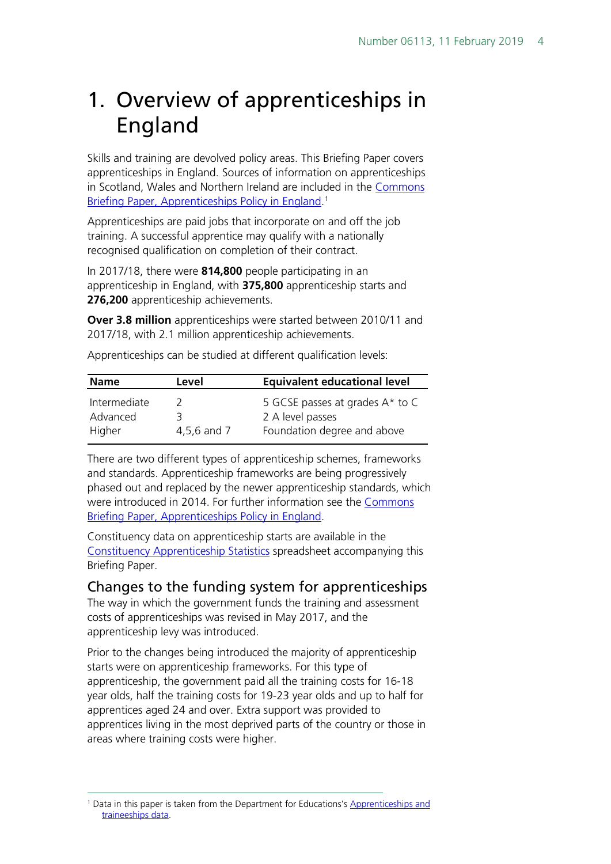# <span id="page-3-0"></span>1. Overview of apprenticeships in England

Skills and training are devolved policy areas. This Briefing Paper covers apprenticeships in England. Sources of information on apprenticeships in Scotland, Wales and Northern Ireland are included in the [Commons](http://researchbriefings.parliament.uk/ResearchBriefing/Summary/SN03052)  [Briefing Paper, Apprenticeships Policy in England.](http://researchbriefings.parliament.uk/ResearchBriefing/Summary/SN03052)<sup>[1](#page-3-2)</sup>

Apprenticeships are paid jobs that incorporate on and off the job training. A successful apprentice may qualify with a nationally recognised qualification on completion of their contract.

In 2017/18, there were **814,800** people participating in an apprenticeship in England, with **375,800** apprenticeship starts and **276,200** apprenticeship achievements.

**Over 3.8 million** apprenticeships were started between 2010/11 and 2017/18, with 2.1 million apprenticeship achievements.

| <b>Name</b>                        | Level            | <b>Equivalent educational level</b>                                                |  |  |  |  |  |
|------------------------------------|------------------|------------------------------------------------------------------------------------|--|--|--|--|--|
| Intermediate<br>Advanced<br>Higher | 3<br>4,5,6 and 7 | 5 GCSE passes at grades A* to C<br>2 A level passes<br>Foundation degree and above |  |  |  |  |  |

Apprenticeships can be studied at different qualification levels:

There are two different types of apprenticeship schemes, frameworks and standards. Apprenticeship frameworks are being progressively phased out and replaced by the newer apprenticeship standards, which were introduced in 2014. For further information see the [Commons](http://researchbriefings.parliament.uk/ResearchBriefing/Summary/SN03052)  [Briefing Paper, Apprenticeships Policy in England.](http://researchbriefings.parliament.uk/ResearchBriefing/Summary/SN03052)

Constituency data on apprenticeship starts are available in the [Constituency Apprenticeship Statistics](http://researchbriefings.files.parliament.uk/documents/SN06113/CBP06113.xlsx) spreadsheet accompanying this Briefing Paper.

### <span id="page-3-1"></span>Changes to the funding system for apprenticeships

The way in which the government funds the training and assessment costs of apprenticeships was revised in May 2017, and the apprenticeship levy was introduced.

Prior to the changes being introduced the majority of apprenticeship starts were on apprenticeship frameworks. For this type of apprenticeship, the government paid all the training costs for 16-18 year olds, half the training costs for 19-23 year olds and up to half for apprentices aged 24 and over. Extra support was provided to apprentices living in the most deprived parts of the country or those in areas where training costs were higher.

<span id="page-3-2"></span><sup>&</sup>lt;sup>1</sup> Data in this paper is taken from the Department for Educations's Apprenticeships and [traineeships data.](https://www.gov.uk/government/statistical-data-sets/fe-data-library-apprenticeships)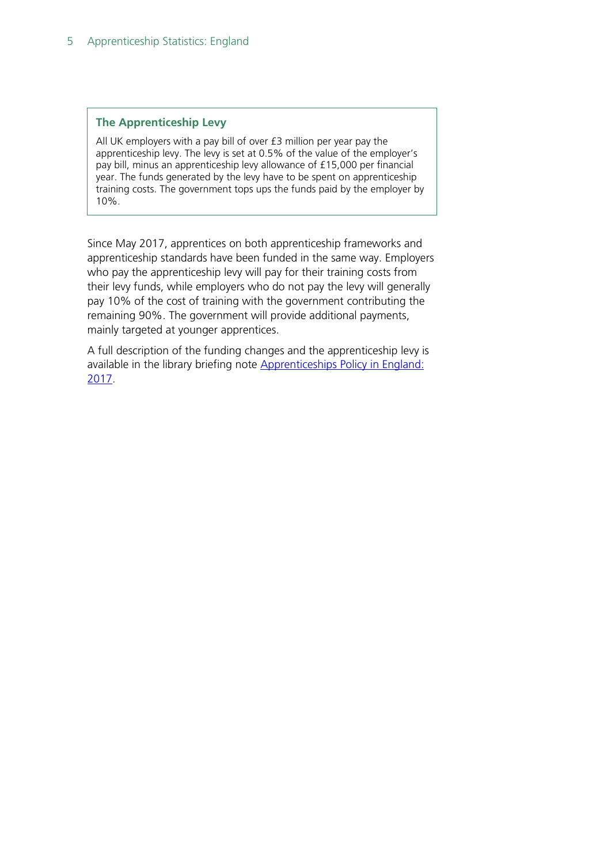#### **The Apprenticeship Levy**

All UK employers with a pay bill of over £3 million per year pay the apprenticeship levy. The levy is set at 0.5% of the value of the employer's pay bill, minus an apprenticeship levy allowance of £15,000 per financial year. The funds generated by the levy have to be spent on apprenticeship training costs. The government tops ups the funds paid by the employer by 10%.

Since May 2017, apprentices on both apprenticeship frameworks and apprenticeship standards have been funded in the same way. Employers who pay the apprenticeship levy will pay for their training costs from their levy funds, while employers who do not pay the levy will generally pay 10% of the cost of training with the government contributing the remaining 90%. The government will provide additional payments, mainly targeted at younger apprentices.

A full description of the funding changes and the apprenticeship levy is available in the library briefing note Apprenticeships Policy in England: [2017.](http://researchbriefings.parliament.uk/ResearchBriefing/Summary/SN03052)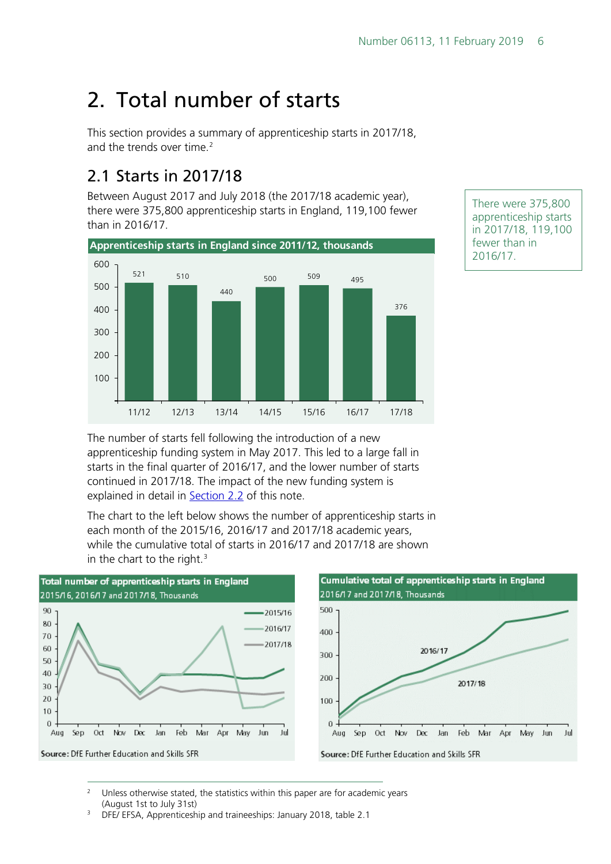# <span id="page-5-0"></span>2. Total number of starts

This section provides a summary of apprenticeship starts in 2017/18, and the trends over time. [2](#page-5-2)

## <span id="page-5-1"></span>2.1 Starts in 2017/18

Between August 2017 and July 2018 (the 2017/18 academic year), there were 375,800 apprenticeship starts in England, 119,100 fewer than in 2016/17.



There were 375,800 apprenticeship starts in 2017/18, 119,100 fewer than in 2016/17.

The number of starts fell following the introduction of a new apprenticeship funding system in May 2017. This led to a large fall in starts in the final quarter of 2016/17, and the lower number of starts continued in 2017/18. The impact of the new funding system is explained in detail in [Section 2.2](#page-2-1) of this note.

The chart to the left below shows the number of apprenticeship starts in each month of the 2015/16, 2016/17 and 2017/18 academic years, while the cumulative total of starts in 2016/17 and 2017/18 are shown in the chart to the right. $3$ 



<span id="page-5-2"></span><sup>2</sup> Unless otherwise stated, the statistics within this paper are for academic years (August 1st to July 31st)

<span id="page-5-3"></span><sup>3</sup> DFE/ EFSA, Apprenticeship and traineeships: January 2018, table 2.1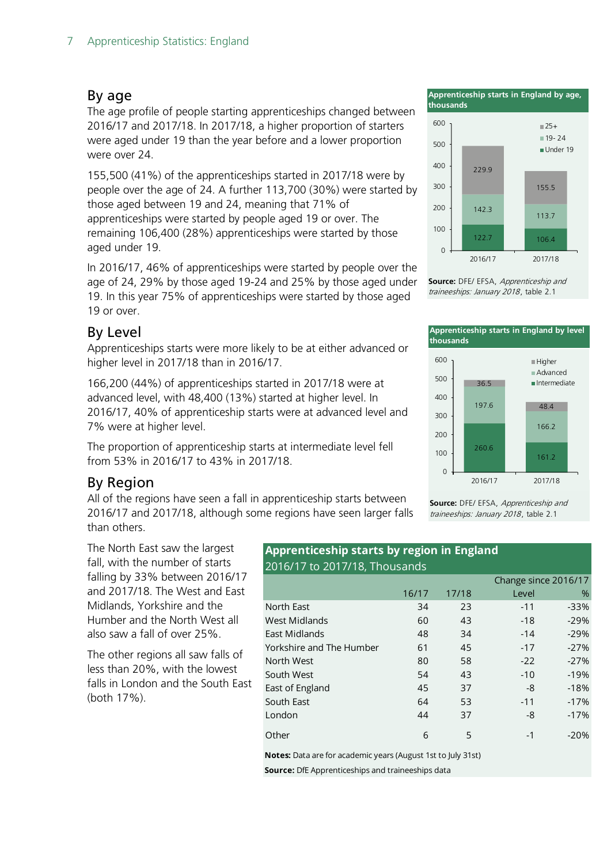#### By age

The age profile of people starting apprenticeships changed between 2016/17 and 2017/18. In 2017/18, a higher proportion of starters were aged under 19 than the year before and a lower proportion were over 24.

155,500 (41%) of the apprenticeships started in 2017/18 were by people over the age of 24. A further 113,700 (30%) were started by those aged between 19 and 24, meaning that 71% of apprenticeships were started by people aged 19 or over. The remaining 106,400 (28%) apprenticeships were started by those aged under 19.

In 2016/17, 46% of apprenticeships were started by people over the age of 24, 29% by those aged 19-24 and 25% by those aged under 19. In this year 75% of apprenticeships were started by those aged 19 or over.

#### By Level

Apprenticeships starts were more likely to be at either advanced or higher level in 2017/18 than in 2016/17.

166,200 (44%) of apprenticeships started in 2017/18 were at advanced level, with 48,400 (13%) started at higher level. In 2016/17, 40% of apprenticeship starts were at advanced level and 7% were at higher level.

The proportion of apprenticeship starts at intermediate level fell from 53% in 2016/17 to 43% in 2017/18.

#### By Region

All of the regions have seen a fall in apprenticeship starts between 2016/17 and 2017/18, although some regions have seen larger falls than others.

The North East saw the largest fall, with the number of starts falling by 33% between 2016/17 and 2017/18. The West and East Midlands, Yorkshire and the Humber and the North West all also saw a fall of over 25%.

The other regions all saw falls of less than 20%, with the lowest falls in London and the South East (both 17%).

#### **Apprenticeship starts by region in England** 2016/17 to 2017/18, Thousands

|                          |       |       |       | Change since 2016/17 |
|--------------------------|-------|-------|-------|----------------------|
|                          | 16/17 | 17/18 | Level | $\%$                 |
| North East               | 34    | 23    | $-11$ | $-33%$               |
| <b>West Midlands</b>     | 60    | 43    | $-18$ | $-29%$               |
| East Midlands            | 48    | 34    | $-14$ | $-29%$               |
| Yorkshire and The Humber | 61    | 45    | $-17$ | $-27%$               |
| North West               | 80    | 58    | $-22$ | $-27%$               |
| South West               | 54    | 43    | $-10$ | $-19%$               |
| East of England          | 45    | 37    | -8    | $-18%$               |
| South East               | 64    | 53    | $-11$ | $-17%$               |
| London                   | 44    | 37    | -8    | $-17%$               |
| Other                    | 6     | 5     | $-1$  | $-20%$               |

**Notes:** Data are for academic years (August 1st to July 31st)

**Source:** DfE Apprenticeships and traineeships data

**Apprenticeship starts in England by age, thousands**



**Source:** DFE/ EFSA, Apprenticeship and traineeships: January 2018, table 2.1



traineeships: January 2018, table 2.1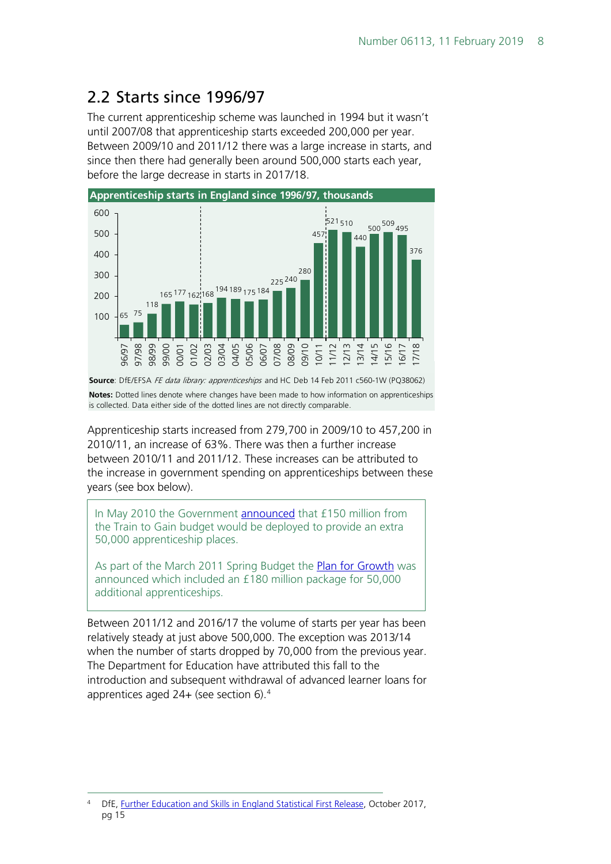## <span id="page-7-0"></span>2.2 Starts since 1996/97

The current apprenticeship scheme was launched in 1994 but it wasn't until 2007/08 that apprenticeship starts exceeded 200,000 per year. Between 2009/10 and 2011/12 there was a large increase in starts, and since then there had generally been around 500,000 starts each year, before the large decrease in starts in 2017/18.



**Notes:** Dotted lines denote where changes have been made to how information on apprenticeships is collected. Data either side of the dotted lines are not directly comparable. **Source**: DfE/EFSA FE data library: apprenticeships and HC Deb 14 Feb 2011 c560-1W (PQ38062)

Apprenticeship starts increased from 279,700 in 2009/10 to 457,200 in 2010/11, an increase of 63%. There was then a further increase between 2010/11 and 2011/12. These increases can be attributed to the increase in government spending on apprenticeships between these years (see box below).

In May 2010 the Government **announced** that £150 million from the Train to Gain budget would be deployed to provide an extra 50,000 apprenticeship places.

As part of the March 2011 Spring Budget the **Plan for Growth** was announced which included an £180 million package for 50,000 additional apprenticeships.

Between 2011/12 and 2016/17 the volume of starts per year has been relatively steady at just above 500,000. The exception was 2013/14 when the number of starts dropped by 70,000 from the previous year. The Department for Education have attributed this fall to the introduction and subsequent withdrawal of advanced learner loans for apprentices aged 24+ (see section 6).[4](#page-7-1)

<span id="page-7-1"></span> <sup>4</sup> DfE, [Further Education and Skills in England Statistical First Release,](https://www.gov.uk/government/uploads/system/uploads/attachment_data/file/650515/SFR53_2017_FINAL.pdf) October 2017, pg 15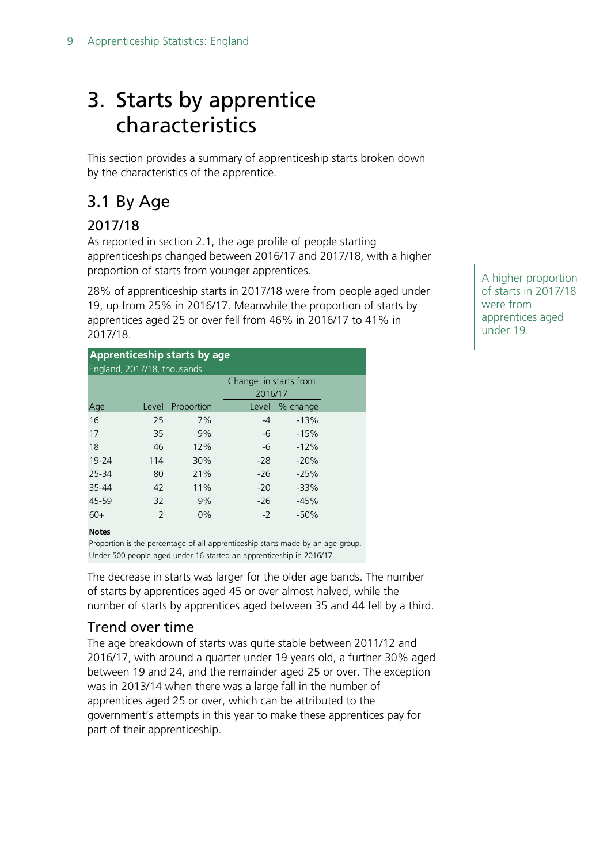# <span id="page-8-0"></span>3. Starts by apprentice characteristics

This section provides a summary of apprenticeship starts broken down by the characteristics of the apprentice.

## <span id="page-8-1"></span>3.1 By Age

### 2017/18

As reported in section 2.1, the age profile of people starting apprenticeships changed between 2016/17 and 2017/18, with a higher proportion of starts from younger apprentices.

28% of apprenticeship starts in 2017/18 were from people aged under 19, up from 25% in 2016/17. Meanwhile the proportion of starts by apprentices aged 25 or over fell from 46% in 2016/17 to 41% in 2017/18.

| Apprenticeship starts by age |                |            |                       |          |  |  |  |  |  |  |
|------------------------------|----------------|------------|-----------------------|----------|--|--|--|--|--|--|
| England, 2017/18, thousands  |                |            |                       |          |  |  |  |  |  |  |
|                              |                |            | Change in starts from |          |  |  |  |  |  |  |
|                              |                |            | 2016/17               |          |  |  |  |  |  |  |
| Age                          | Level          | Proportion | Level                 | % change |  |  |  |  |  |  |
| 16                           | 25             | 7%         | $-4$                  | $-13%$   |  |  |  |  |  |  |
| 17                           | 35             | 9%         | $-6$                  | $-15%$   |  |  |  |  |  |  |
| 18                           | 46             | 12%        | -6                    | $-12%$   |  |  |  |  |  |  |
| 19-24                        | 114            | 30%        | $-28$                 | $-20%$   |  |  |  |  |  |  |
| 25-34                        | 80             | 21%        | $-26$                 | $-25%$   |  |  |  |  |  |  |
| 35-44                        | 42             | 11%        | $-20$                 | $-33%$   |  |  |  |  |  |  |
| 45-59                        | 32             | 9%         | $-26$                 | $-45%$   |  |  |  |  |  |  |
| $60+$                        | $\overline{2}$ | $0\%$      | $-2$                  | $-50%$   |  |  |  |  |  |  |

#### **Notes**

Proportion is the percentage of all apprenticeship starts made by an age group. Under 500 people aged under 16 started an apprenticeship in 2016/17.

The decrease in starts was larger for the older age bands. The number of starts by apprentices aged 45 or over almost halved, while the number of starts by apprentices aged between 35 and 44 fell by a third.

### Trend over time

The age breakdown of starts was quite stable between 2011/12 and 2016/17, with around a quarter under 19 years old, a further 30% aged between 19 and 24, and the remainder aged 25 or over. The exception was in 2013/14 when there was a large fall in the number of apprentices aged 25 or over, which can be attributed to the government's attempts in this year to make these apprentices pay for part of their apprenticeship.

A higher proportion of starts in 2017/18 were from apprentices aged under 19.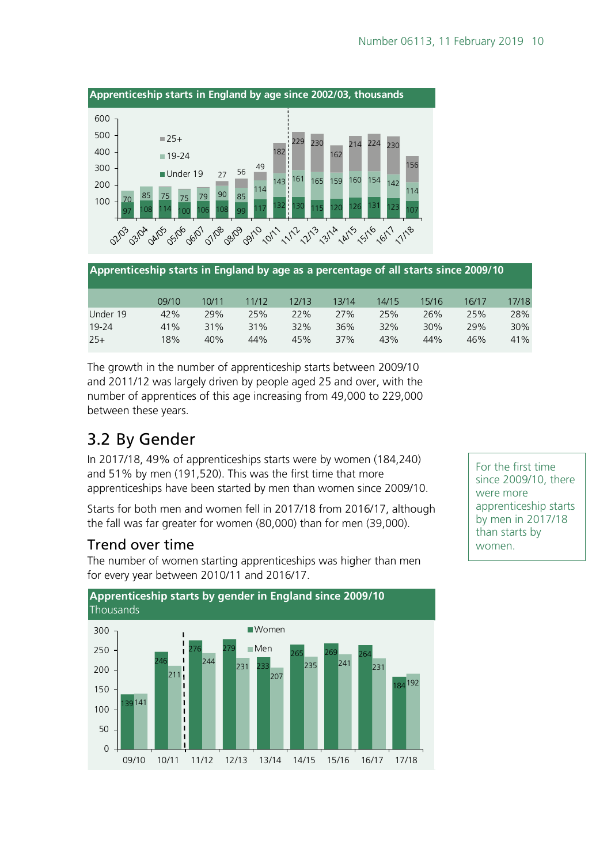

|          | 09/10 | 10/11 | 11/12 | 12/13 | 13/14 | 14/15 | 15/16 | 16/17 | 17/18 |
|----------|-------|-------|-------|-------|-------|-------|-------|-------|-------|
| Under 19 | 42%   | 29%   | 25%   | 22%   | 27%   | 25%   | 26%   | 25%   | 28%   |
| 19-24    | 41%   | 31%   | 31%   | 32%   | 36%   | 32%   | 30%   | 29%   | 30%   |
| $25+$    | 18%   | 40%   | 44%   | 45%   | 37%   | 43%   | 44%   | 46%   | 41%   |

The growth in the number of apprenticeship starts between 2009/10 and 2011/12 was largely driven by people aged 25 and over, with the number of apprentices of this age increasing from 49,000 to 229,000 between these years.

## <span id="page-9-0"></span>3.2 By Gender

In 2017/18, 49% of apprenticeships starts were by women (184,240) and 51% by men (191,520). This was the first time that more apprenticeships have been started by men than women since 2009/10.

Starts for both men and women fell in 2017/18 from 2016/17, although the fall was far greater for women (80,000) than for men (39,000).

#### Trend over time

The number of women starting apprenticeships was higher than men for every year between 2010/11 and 2016/17.



For the first time since 2009/10, there were more apprenticeship starts by men in 2017/18 than starts by women.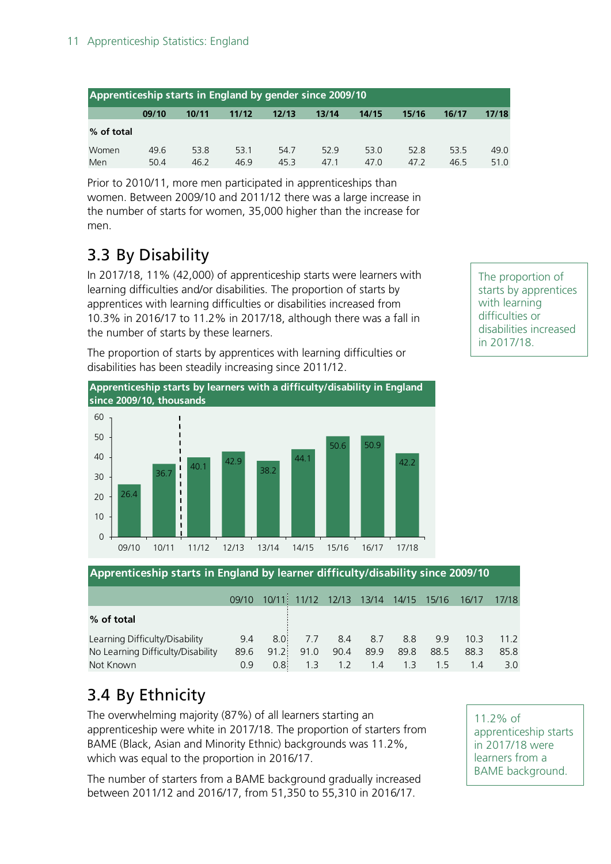| Apprenticeship starts in England by gender since 2009/10 |       |       |       |       |       |       |       |       |       |  |  |
|----------------------------------------------------------|-------|-------|-------|-------|-------|-------|-------|-------|-------|--|--|
|                                                          | 09/10 | 10/11 | 11/12 | 12/13 | 13/14 | 14/15 | 15/16 | 16/17 | 17/18 |  |  |
| % of total                                               |       |       |       |       |       |       |       |       |       |  |  |
| Women                                                    | 49.6  | 53.8  | 53.1  | 54.7  | 529   | 53.0  | 52.8  | 53.5  | 49.0  |  |  |
| Men                                                      | 504   | 46.2  | 46.9  | 45.3  | 47.1  | 47.0  | 47.2  | 46.5  | 51.0  |  |  |

Prior to 2010/11, more men participated in apprenticeships than women. Between 2009/10 and 2011/12 there was a large increase in the number of starts for women, 35,000 higher than the increase for men.

## <span id="page-10-0"></span>3.3 By Disability

In 2017/18, 11% (42,000) of apprenticeship starts were learners with learning difficulties and/or disabilities. The proportion of starts by apprentices with learning difficulties or disabilities increased from 10.3% in 2016/17 to 11.2% in 2017/18, although there was a fall in the number of starts by these learners.

The proportion of starts by apprentices with learning difficulties or disabilities has been steadily increasing since 2011/12.



The proportion of starts by apprentices with learning difficulties or disabilities increased in 2017/18.

**Apprenticeship starts in England by learner difficulty/disability since 2009/10**

|                                   | 09/10 |                  |      |     |             |             | 10/11 11/12 12/13 13/14 14/15 15/16 16/17 |      | 17/18 |
|-----------------------------------|-------|------------------|------|-----|-------------|-------------|-------------------------------------------|------|-------|
| % of total                        |       |                  |      |     |             |             |                                           |      |       |
| Learning Difficulty/Disability    | 9.4   | 8.0 <sup>1</sup> |      |     | 7.7 8.4 8.7 | 8.8         | 9.9                                       | 10.3 | 11.2  |
| No Learning Difficulty/Disability | 89.6  | 91.2             | 91.0 |     | 90.4 89.9   | 89.8        | 88.5                                      | 88.3 | 85.8  |
| Not Known                         | 0.9   | 0.8 <sup>1</sup> | 1.3  | 1.2 |             | $1.4$ $1.3$ | 1.5                                       | 1.4  | 3.0   |

## <span id="page-10-1"></span>3.4 By Ethnicity

The overwhelming majority (87%) of all learners starting an apprenticeship were white in 2017/18. The proportion of starters from BAME (Black, Asian and Minority Ethnic) backgrounds was 11.2%, which was equal to the proportion in 2016/17.

The number of starters from a BAME background gradually increased between 2011/12 and 2016/17, from 51,350 to 55,310 in 2016/17.

11.2% of apprenticeship starts in 2017/18 were learners from a BAME background.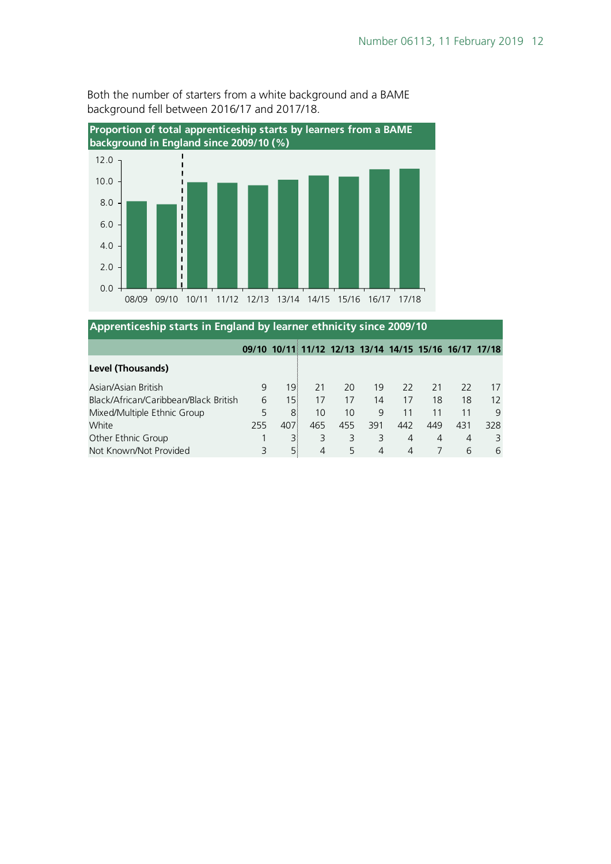

**Apprenticeship starts in England by learner ethnicity since 2009/10**

Both the number of starters from a white background and a BAME background fell between 2016/17 and 2017/18.

| Apprentices in picture in England by learner ethnicity since 2009/10 |     |                 |     |     |     |     |                                                       |                |     |  |  |
|----------------------------------------------------------------------|-----|-----------------|-----|-----|-----|-----|-------------------------------------------------------|----------------|-----|--|--|
|                                                                      |     |                 |     |     |     |     | 09/10 10/11 11/12 12/13 13/14 14/15 15/16 16/17 17/18 |                |     |  |  |
| <b>Level (Thousands)</b>                                             |     |                 |     |     |     |     |                                                       |                |     |  |  |
| Asian/Asian British                                                  | 9   | 191             | 21  | 20  | 19  | 22  | 21                                                    | 22             | 17  |  |  |
| Black/African/Caribbean/Black British                                | 6   | 15 <sub>1</sub> | 17  | 17  | 14  | 17  | 18                                                    | 18             | 12  |  |  |
| Mixed/Multiple Ethnic Group                                          |     | 8               | 10  | 10  | 9   | 11  |                                                       | 11             | 9   |  |  |
| White                                                                | 255 | 407             | 465 | 455 | 391 | 442 | 449                                                   | 431            | 328 |  |  |
| Other Ethnic Group                                                   |     |                 | 3   | 3   |     | 4   | 4                                                     | $\overline{4}$ | 3   |  |  |
| Not Known/Not Provided                                               |     | 51              | 4   | 5   |     | 4   |                                                       | 6              | 6   |  |  |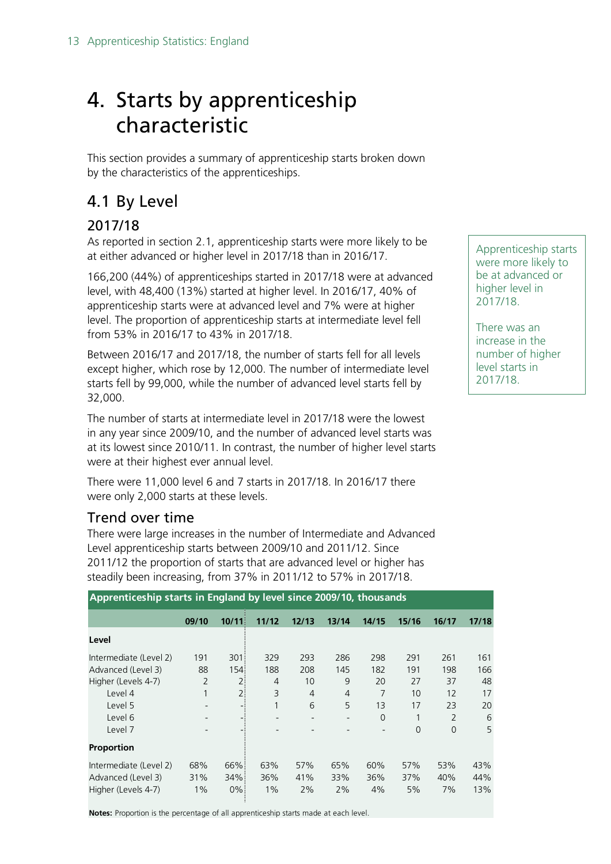# <span id="page-12-0"></span>4. Starts by apprenticeship characteristic

This section provides a summary of apprenticeship starts broken down by the characteristics of the apprenticeships.

## <span id="page-12-1"></span>4.1 By Level

### 2017/18

As reported in section 2.1, apprenticeship starts were more likely to be at either advanced or higher level in 2017/18 than in 2016/17.

166,200 (44%) of apprenticeships started in 2017/18 were at advanced level, with 48,400 (13%) started at higher level. In 2016/17, 40% of apprenticeship starts were at advanced level and 7% were at higher level. The proportion of apprenticeship starts at intermediate level fell from 53% in 2016/17 to 43% in 2017/18.

Between 2016/17 and 2017/18, the number of starts fell for all levels except higher, which rose by 12,000. The number of intermediate level starts fell by 99,000, while the number of advanced level starts fell by 32,000.

The number of starts at intermediate level in 2017/18 were the lowest in any year since 2009/10, and the number of advanced level starts was at its lowest since 2010/11. In contrast, the number of higher level starts were at their highest ever annual level.

There were 11,000 level 6 and 7 starts in 2017/18. In 2016/17 there were only 2,000 starts at these levels.

#### Trend over time

There were large increases in the number of Intermediate and Advanced Level apprenticeship starts between 2009/10 and 2011/12. Since 2011/12 the proportion of starts that are advanced level or higher has steadily been increasing, from 37% in 2011/12 to 57% in 2017/18.

| Apprenticeship starts in England by level since 2009/10, thousands |                |       |       |                |                |          |          |               |       |  |  |  |
|--------------------------------------------------------------------|----------------|-------|-------|----------------|----------------|----------|----------|---------------|-------|--|--|--|
|                                                                    | 09/10          | 10/11 | 11/12 | 12/13          | 13/14          | 14/15    | 15/16    | 16/17         | 17/18 |  |  |  |
| Level                                                              |                |       |       |                |                |          |          |               |       |  |  |  |
| Intermediate (Level 2)                                             | 191            | 301   | 329   | 293            | 286            | 298      | 291      | 261           | 161   |  |  |  |
| Advanced (Level 3)                                                 | 88             | 154:  | 188   | 208            | 145            | 182      | 191      | 198           | 166   |  |  |  |
| Higher (Levels 4-7)                                                | $\overline{2}$ | 2:    | 4     | 10             | 9              | 20       | 27       | 37            | 48    |  |  |  |
| Level 4                                                            |                | 2:    | 3     | $\overline{4}$ | $\overline{4}$ | 7        | 10       | 12            | 17    |  |  |  |
| Level 5                                                            |                | - :   | 1     | 6              | 5              | 13       | 17       | 23            | 20    |  |  |  |
| Level 6                                                            |                |       |       |                |                | $\Omega$ |          | $\mathcal{P}$ | 6     |  |  |  |
| Level 7                                                            |                |       |       |                |                |          | $\Omega$ | $\Omega$      | 5     |  |  |  |
| <b>Proportion</b>                                                  |                |       |       |                |                |          |          |               |       |  |  |  |
| Intermediate (Level 2)                                             | 68%            | 66%   | 63%   | 57%            | 65%            | 60%      | 57%      | 53%           | 43%   |  |  |  |
| Advanced (Level 3)                                                 | 31%            | 34%   | 36%   | 41%            | 33%            | 36%      | 37%      | 40%           | 44%   |  |  |  |
| Higher (Levels 4-7)                                                | $1\%$          | $0\%$ | 1%    | 2%             | 2%             | 4%       | 5%       | 7%            | 13%   |  |  |  |

#### **Apprenticeship starts in England by level since 2009/10, thousands**

**Notes:** Proportion is the percentage of all apprenticeship starts made at each level.

Apprenticeship starts were more likely to be at advanced or higher level in 2017/18.

There was an increase in the number of higher level starts in 2017/18.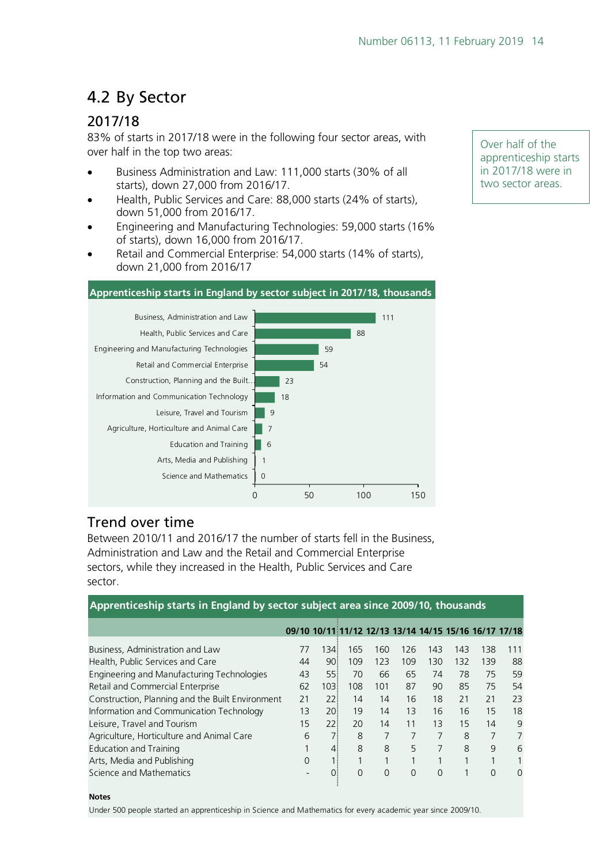## <span id="page-13-0"></span>4.2 By Sector

### 2017/18

83% of starts in 2017/18 were in the following four sector areas, with over half in the top two areas:

- Business Administration and Law: 111,000 starts (30% of all starts), down 27,000 from 2016/17.
- Health, Public Services and Care: 88,000 starts (24% of starts), down 51,000 from 2016/17.
- Engineering and Manufacturing Technologies: 59,000 starts (16% of starts), down 16,000 from 2016/17.
- Retail and Commercial Enterprise: 54,000 starts (14% of starts), down 21,000 from 2016/17

#### **Apprenticeship starts in England by sector subject in 2017/18, thousands**



#### Trend over time

Between 2010/11 and 2016/17 the number of starts fell in the Business, Administration and Law and the Retail and Commercial Enterprise sectors, while they increased in the Health, Public Services and Care sector.

| Apprenticeship starts in England by sector subject area since 2009/10, thousands |                                                       |      |          |          |          |          |     |     |     |
|----------------------------------------------------------------------------------|-------------------------------------------------------|------|----------|----------|----------|----------|-----|-----|-----|
|                                                                                  | 09/10 10/11 11/12 12/13 13/14 14/15 15/16 16/17 17/18 |      |          |          |          |          |     |     |     |
| Business, Administration and Law                                                 | 77                                                    | 1341 | 165      | 160      | 126      | 143      | 143 | 138 | 111 |
| Health, Public Services and Care                                                 | 44                                                    | 90 i | 109      | 123      | 109      | 130      | 132 | 139 | 88  |
| Engineering and Manufacturing Technologies                                       | 43                                                    | 551  | 70       | 66       | 65       | 74       | 78  | 75  | 59  |
| Retail and Commercial Enterprise                                                 | 62                                                    | 1031 | 108      | 101      | 87       | 90       | 85  | 75  | 54  |
| Construction, Planning and the Built Environment                                 | 21                                                    | 22!  | 14       | 14       | 16       | 18       | 21  | 21  | 23  |
| Information and Communication Technology                                         | 13                                                    | 20 i | 19       | 14       | 13       | 16       | 16  | 15  | 18  |
| Leisure, Travel and Tourism                                                      | 15                                                    | 221  | 20       | 14       | 11       | 13       | 15  | 14  | 9   |
| Agriculture, Horticulture and Animal Care                                        | 6                                                     |      | 8        | 7        | 7        | 7        | 8   | 7   | 7   |
| Education and Training                                                           |                                                       | 41   | 8        | 8        | 5        | 7        | 8   | 9   | 6   |
| Arts, Media and Publishing                                                       | $\Omega$                                              |      |          |          | 1        | 1        | 1   |     |     |
| Science and Mathematics                                                          |                                                       | 0.   | $\Omega$ | $\Omega$ | $\Omega$ | $\Omega$ | 1   | 0   | 0   |

#### **Notes**

Under 500 people started an apprenticeship in Science and Mathematics for every academic year since 2009/10.

Over half of the apprenticeship starts in 2017/18 were in two sector areas.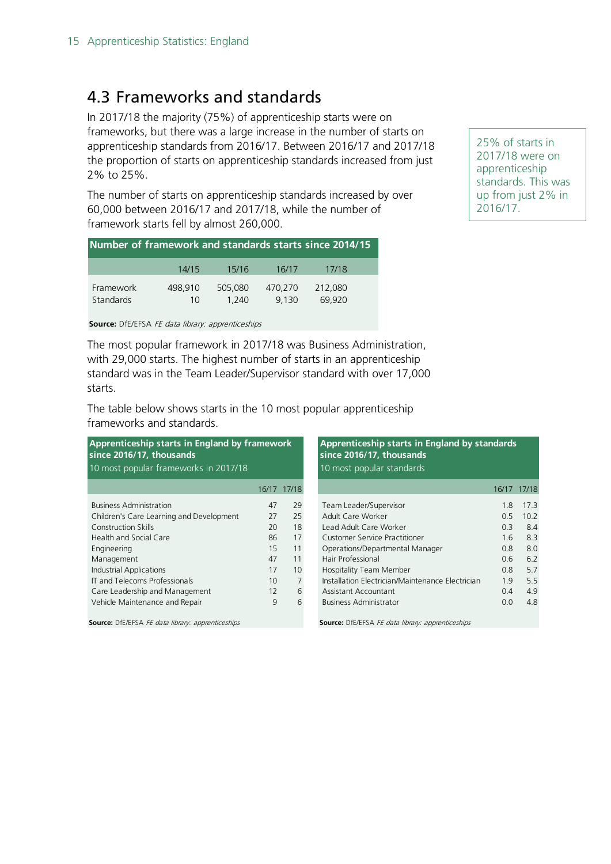### <span id="page-14-0"></span>4.3 Frameworks and standards

In 2017/18 the majority (75%) of apprenticeship starts were on frameworks, but there was a large increase in the number of starts on apprenticeship standards from 2016/17. Between 2016/17 and 2017/18 the proportion of starts on apprenticeship standards increased from just 2% to 25%.

The number of starts on apprenticeship standards increased by over 60,000 between 2016/17 and 2017/18, while the number of framework starts fell by almost 260,000.

| Number of framework and standards starts since 2014/15 |               |                  |                  |                   |  |  |  |  |  |  |
|--------------------------------------------------------|---------------|------------------|------------------|-------------------|--|--|--|--|--|--|
|                                                        | 14/15         | 15/16            | 16/17            | 17/18             |  |  |  |  |  |  |
| Framework<br>Standards                                 | 498,910<br>10 | 505,080<br>1.240 | 470,270<br>9.130 | 212,080<br>69.920 |  |  |  |  |  |  |

**Source:** DfE/EFSA FE data library: apprenticeships

The most popular framework in 2017/18 was Business Administration, with 29,000 starts. The highest number of starts in an apprenticeship standard was in the Team Leader/Supervisor standard with over 17,000 starts.

The table below shows starts in the 10 most popular apprenticeship frameworks and standards.

| Apprenticeship starts in England by framework<br>since 2016/17, thousands<br>10 most popular frameworks in 2017/18 |                | Apprenticeship starts in England by standards<br>since 2016/17, thousands<br>10 most popular standards |     |             |
|--------------------------------------------------------------------------------------------------------------------|----------------|--------------------------------------------------------------------------------------------------------|-----|-------------|
|                                                                                                                    |                |                                                                                                        |     | 16/17 17/18 |
| 47                                                                                                                 | 29             | Team Leader/Supervisor                                                                                 | 1.8 | 17.3        |
| 27                                                                                                                 | 25             | Adult Care Worker                                                                                      | 0.5 | 10.2        |
| 20                                                                                                                 | 18             | Lead Adult Care Worker                                                                                 | 0.3 | 8.4         |
| 86                                                                                                                 | 17             | Customer Service Practitioner                                                                          | 1.6 | 8.3         |
| 15                                                                                                                 | 11             | Operations/Departmental Manager                                                                        | 0.8 | 8.0         |
| 47                                                                                                                 | 11             | Hair Professional                                                                                      | 0.6 | 6.2         |
| 17                                                                                                                 | 10             | Hospitality Team Member                                                                                | 0.8 | 5.7         |
| 10                                                                                                                 | $\overline{7}$ | Installation Electrician/Maintenance Electrician                                                       | 1.9 | 5.5         |
| 12                                                                                                                 | 6              | Assistant Accountant                                                                                   | 0.4 | 4.9         |
| 9                                                                                                                  | 6              | <b>Business Administrator</b>                                                                          | 0.0 | 4.8         |
|                                                                                                                    |                | Source: DfE/EFSA FE data library: apprenticeships                                                      |     |             |
|                                                                                                                    |                | 16/17 17/18                                                                                            |     |             |

25% of starts in 2017/18 were on apprenticeship standards. This was up from just 2% in 2016/17.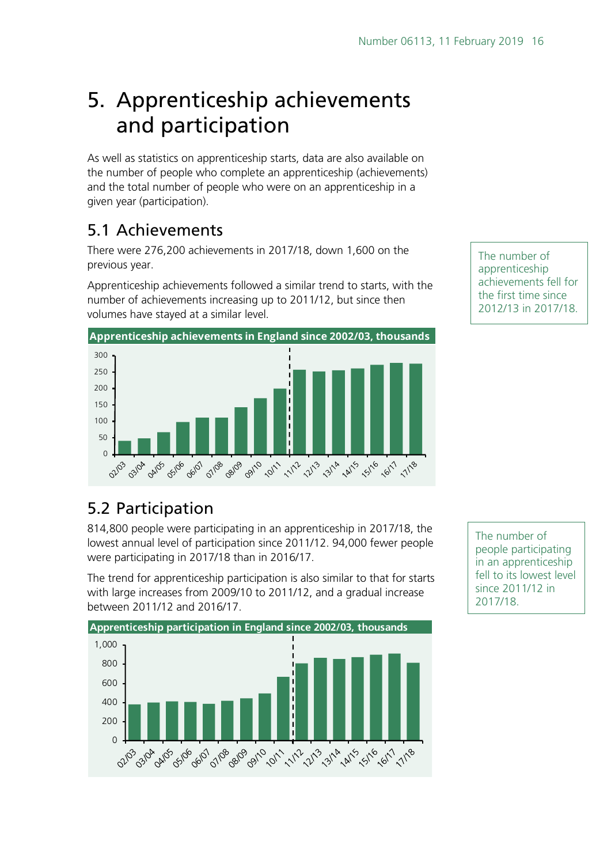# <span id="page-15-0"></span>5. Apprenticeship achievements and participation

As well as statistics on apprenticeship starts, data are also available on the number of people who complete an apprenticeship (achievements) and the total number of people who were on an apprenticeship in a given year (participation).

## <span id="page-15-1"></span>5.1 Achievements

There were 276,200 achievements in 2017/18, down 1,600 on the previous year.

Apprenticeship achievements followed a similar trend to starts, with the number of achievements increasing up to 2011/12, but since then volumes have stayed at a similar level.



The number of apprenticeship achievements fell for the first time since 2012/13 in 2017/18.

## <span id="page-15-2"></span>5.2 Participation

814,800 people were participating in an apprenticeship in 2017/18, the lowest annual level of participation since 2011/12. 94,000 fewer people were participating in 2017/18 than in 2016/17.

The trend for apprenticeship participation is also similar to that for starts with large increases from 2009/10 to 2011/12, and a gradual increase between 2011/12 and 2016/17.



The number of people participating in an apprenticeship fell to its lowest level since 2011/12 in 2017/18.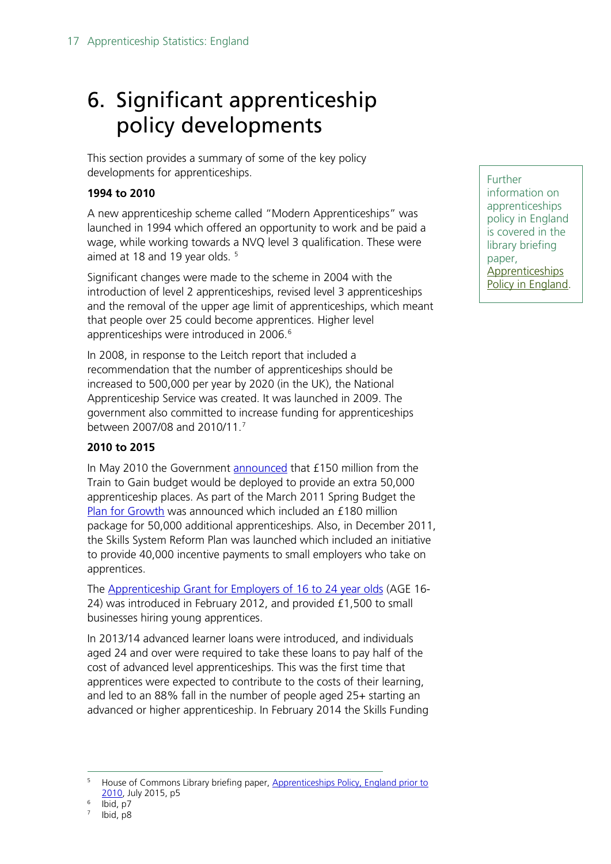# <span id="page-16-0"></span>6. Significant apprenticeship policy developments

This section provides a summary of some of the key policy developments for apprenticeships.

#### **1994 to 2010**

A new apprenticeship scheme called "Modern Apprenticeships" was launched in 1994 which offered an opportunity to work and be paid a wage, while working towards a NVQ level 3 qualification. These were aimed at 18 and 19 year olds.<sup>[5](#page-16-1)</sup>

Significant changes were made to the scheme in 2004 with the introduction of level 2 apprenticeships, revised level 3 apprenticeships and the removal of the upper age limit of apprenticeships, which meant that people over 25 could become apprentices. Higher level apprenticeships were introduced in 200[6](#page-16-2).<sup>6</sup>

In 2008, in response to the Leitch report that included a recommendation that the number of apprenticeships should be increased to 500,000 per year by 2020 (in the UK), the National Apprenticeship Service was created. It was launched in 2009. The government also committed to increase funding for apprenticeships between 2007/08 and 2010/11.[7](#page-16-3)

#### **2010 to 2015**

In May 2010 the Government [announced](https://www.gov.uk/government/news/key-role-for-apprenticeships) that £150 million from the Train to Gain budget would be deployed to provide an extra 50,000 apprenticeship places. As part of the March 2011 Spring Budget the [Plan for Growth](https://www.gov.uk/government/news/budget-2011) was announced which included an £180 million package for 50,000 additional apprenticeships. Also, in December 2011, the Skills System Reform Plan was launched which included an initiative to provide 40,000 incentive payments to small employers who take on apprentices.

The [Apprenticeship Grant for Employers of 16 to 24 year olds](https://www.gov.uk/government/collections/apprenticeship-grant-for-employers-of-16-to-24-year-olds) (AGE 16- 24) was introduced in February 2012, and provided £1,500 to small businesses hiring young apprentices.

In 2013/14 advanced learner loans were introduced, and individuals aged 24 and over were required to take these loans to pay half of the cost of advanced level apprenticeships. This was the first time that apprentices were expected to contribute to the costs of their learning, and led to an 88% fall in the number of people aged 25+ starting an advanced or higher apprenticeship. In February 2014 the Skills Funding Further information on apprenticeships policy in England is covered in the library briefing paper, **Apprenticeships** [Policy in England.](http://researchbriefings.parliament.uk/ResearchBriefing/Summary/SN03052)

<span id="page-16-1"></span>House of Commons Library briefing paper, Apprenticeships Policy, England prior to [2010,](http://researchbriefings.parliament.uk/ResearchBriefing/Summary/CBP-7266) July 2015, p5

<span id="page-16-3"></span><span id="page-16-2"></span> $6$  Ibid, p7

Ibid, p8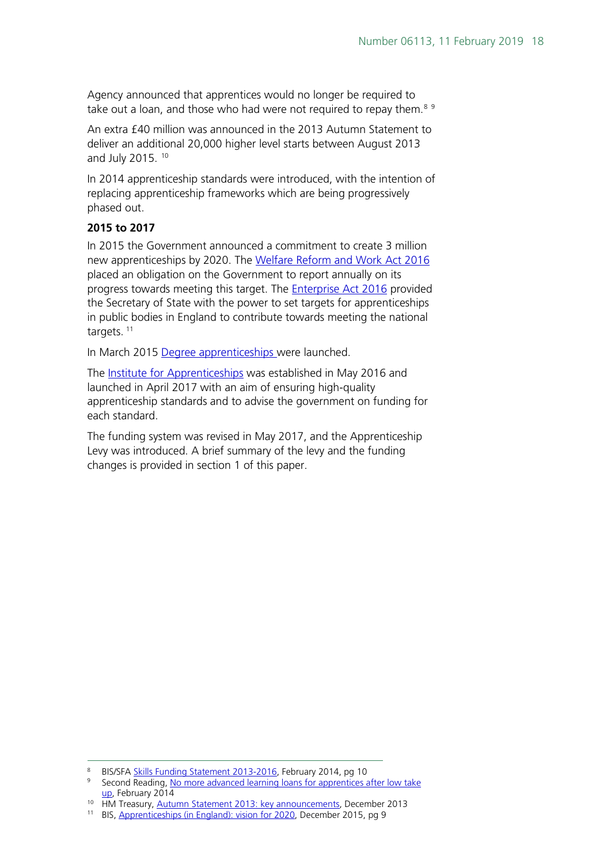Agency announced that apprentices would no longer be required to take out a loan, and those who had were not required to repay them.<sup>[8](#page-17-0)[9](#page-17-1)</sup>

An extra £40 million was announced in the 2013 Autumn Statement to deliver an additional 20,000 higher level starts between August 2013 and July 2015.<sup>[10](#page-17-2)</sup>

In 2014 apprenticeship standards were introduced, with the intention of replacing apprenticeship frameworks which are being progressively phased out.

#### **2015 to 2017**

In 2015 the Government announced a commitment to create 3 million new apprenticeships by 2020. The [Welfare Reform and Work Act 2016](http://services.parliament.uk/bills/2015-16/welfarereformandwork.html) placed an obligation on the Government to report annually on its progress towards meeting this target. The **Enterprise Act 2016** provided the Secretary of State with the power to set targets for apprenticeships in public bodies in England to contribute towards meeting the national targets.<sup>[11](#page-17-3)</sup>

In March 2015 [Degree apprenticeships](https://www.gov.uk/government/news/government-rolls-out-flagship-degree-apprenticeships) were launched.

The [Institute for Apprenticeships](https://www.instituteforapprenticeships.org/) was established in May 2016 and launched in April 2017 with an aim of ensuring high-quality apprenticeship standards and to advise the government on funding for each standard.

The funding system was revised in May 2017, and the Apprenticeship Levy was introduced. A brief summary of the levy and the funding changes is provided in section 1 of this paper.

<span id="page-17-0"></span> <sup>8</sup> BIS/SFA [Skills Funding Statement 2013-2016,](https://www.gov.uk/government/uploads/system/uploads/attachment_data/file/278529/bis-14-p172a-skills-funding-statement-2013-2016.pdf) February 2014, pg 10

<span id="page-17-1"></span><sup>9</sup> Second Reading, No more advanced learning loans for apprentices after low take [up,](https://secondreading.uk/james-mirza-davies/no-more-advanced-learning-loans-for-apprentices-after-low-take-up/) February 2014

<span id="page-17-2"></span><sup>&</sup>lt;sup>10</sup> HM Treasury, [Autumn Statement 2013: key announcements,](https://www.gov.uk/government/news/autumn-statement-2013-key-announcements) December 2013

<span id="page-17-3"></span><sup>11</sup> BIS, [Apprenticeships \(in England\): vision for 2020,](https://www.gov.uk/government/publications/apprenticeships-in-england-vision-for-2020) December 2015, pg 9